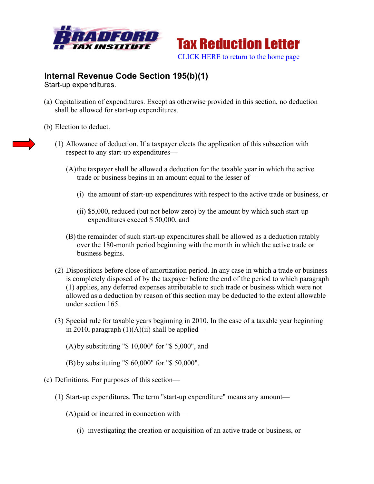



## **Internal Revenue Code Section 195(b)(1)**

Start-up expenditures.

- (a) Capitalization of expenditures. Except as otherwise provided in this section, no deduction shall be allowed for start-up expenditures.
- (b) Election to deduct.
	- (1) Allowance of deduction. If a taxpayer elects the application of this subsection with respect to any start-up expenditures—
		- (A)the taxpayer shall be allowed a deduction for the taxable year in which the active trade or business begins in an amount equal to the lesser of—
			- (i) the amount of start-up expenditures with respect to the active trade or business, or
			- (ii) \$5,000, reduced (but not below zero) by the amount by which such start-up expenditures exceed \$ 50,000, and
		- (B) the remainder of such start-up expenditures shall be allowed as a deduction ratably over the 180-month period beginning with the month in which the active trade or business begins.
	- (2) Dispositions before close of amortization period. In any case in which a trade or business is completely disposed of by the taxpayer before the end of the period to which paragraph (1) applies, any deferred expenses attributable to such trade or business which were not allowed as a deduction by reason of this section may be deducted to the extent allowable under section 165.
	- (3) Special rule for taxable years beginning in 2010. In the case of a taxable year beginning in 2010, paragraph  $(1)(A)(ii)$  shall be applied—
		- (A)by substituting "\$ 10,000" for "\$ 5,000", and
		- (B) by substituting "\$ 60,000" for "\$ 50,000".
- (c) Definitions. For purposes of this section—
	- (1) Start-up expenditures. The term "start-up expenditure" means any amount—
		- (A)paid or incurred in connection with—
			- (i) investigating the creation or acquisition of an active trade or business, or